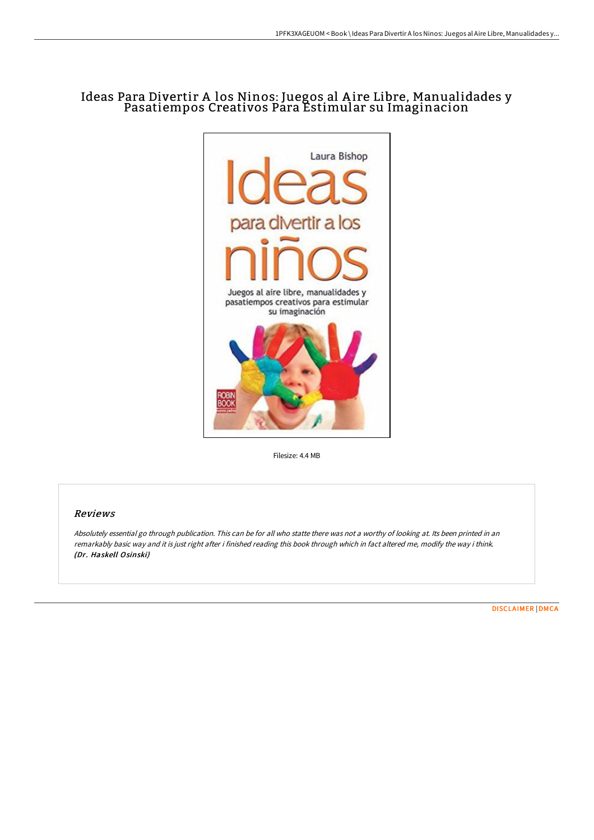## Ideas Para Divertir A los Ninos: Juegos al Aire Libre, Manualidades y Pasatiempos Creativos Para Estimular su Imaginacion



Filesize: 4.4 MB

## Reviews

Absolutely essential go through publication. This can be for all who statte there was not <sup>a</sup> worthy of looking at. Its been printed in an remarkably basic way and it is just right after i finished reading this book through which in fact altered me, modify the way i think. (Dr. Haskell Osinski)

[DISCLAIMER](http://techno-pub.tech/disclaimer.html) | [DMCA](http://techno-pub.tech/dmca.html)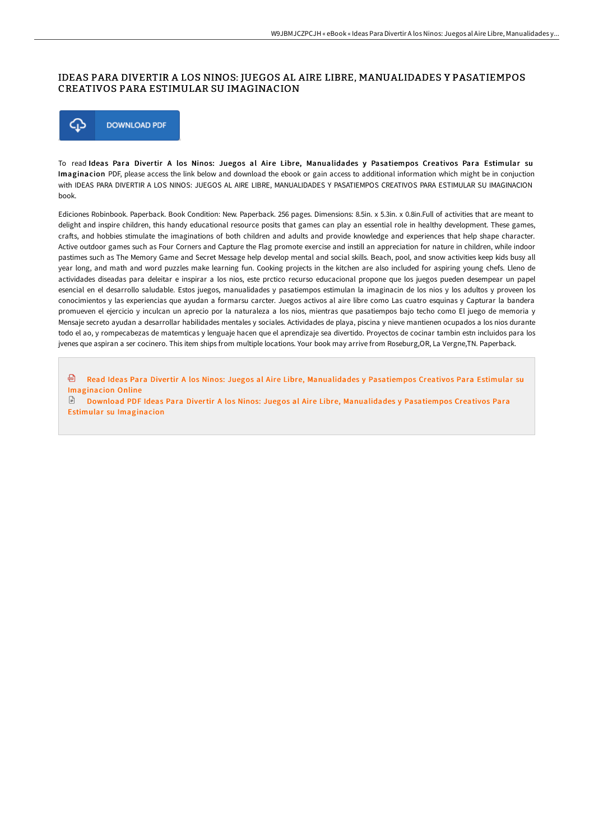## IDEAS PARA DIVERTIR A LOS NINOS: JUEGOS AL AIRE LIBRE, MANUALIDADES Y PASATIEMPOS CREATIVOS PARA ESTIMULAR SU IMAGINACION



To read Ideas Para Divertir A los Ninos: Juegos al Aire Libre, Manualidades y Pasatiempos Creativos Para Estimular su Imaginacion PDF, please access the link below and download the ebook or gain access to additional information which might be in conjuction with IDEAS PARA DIVERTIR A LOS NINOS: JUEGOS AL AIRE LIBRE, MANUALIDADES Y PASATIEMPOS CREATIVOS PARA ESTIMULAR SU IMAGINACION book.

Ediciones Robinbook. Paperback. Book Condition: New. Paperback. 256 pages. Dimensions: 8.5in. x 5.3in. x 0.8in.Full of activities that are meant to delight and inspire children, this handy educational resource posits that games can play an essential role in healthy development. These games, craFs, and hobbies stimulate the imaginations of both children and adults and provide knowledge and experiences that help shape character. Active outdoor games such as Four Corners and Capture the Flag promote exercise and instill an appreciation for nature in children, while indoor pastimes such as The Memory Game and Secret Message help develop mental and social skills. Beach, pool, and snow activities keep kids busy all year long, and math and word puzzles make learning fun. Cooking projects in the kitchen are also included for aspiring young chefs. Lleno de actividades diseadas para deleitar e inspirar a los nios, este prctico recurso educacional propone que los juegos pueden desempear un papel esencial en el desarrollo saludable. Estos juegos, manualidades y pasatiempos estimulan la imaginacin de los nios y los adultos y proveen los conocimientos y las experiencias que ayudan a formarsu carcter. Juegos activos al aire libre como Las cuatro esquinas y Capturar la bandera promueven el ejercicio y inculcan un aprecio por la naturaleza a los nios, mientras que pasatiempos bajo techo como El juego de memoria y Mensaje secreto ayudan a desarrollar habilidades mentales y sociales. Actividades de playa, piscina y nieve mantienen ocupados a los nios durante todo el ao, y rompecabezas de matemticas y lenguaje hacen que el aprendizaje sea divertido. Proyectos de cocinar tambin estn incluidos para los jvenes que aspiran a ser cocinero. This item ships from multiple locations. Your book may arrive from Roseburg,OR, La Vergne,TN. Paperback.

h Read Ideas Para Divertir A los Ninos: Juegos al Aire Libre, [Manualidades](http://techno-pub.tech/ideas-para-divertir-a-los-ninos-juegos-al-aire-l.html) y Pasatiempos Creativos Para Estimular su Imaginacion Online

 $\mathbb{R}$ Download PDF Ideas Para Divertir A los Ninos: Juegos al Aire Libre, [Manualidades](http://techno-pub.tech/ideas-para-divertir-a-los-ninos-juegos-al-aire-l.html) y Pasatiempos Creativos Para Estimular su Imaginacion